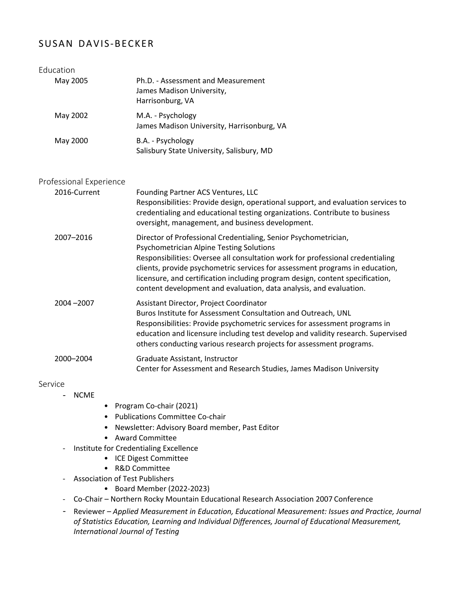# SUSAN DAVIS-BECKER

| Education               |                                                                                                                                                                                                                                                                                                                                                                                                                                             |
|-------------------------|---------------------------------------------------------------------------------------------------------------------------------------------------------------------------------------------------------------------------------------------------------------------------------------------------------------------------------------------------------------------------------------------------------------------------------------------|
| May 2005                | Ph.D. - Assessment and Measurement<br>James Madison University,<br>Harrisonburg, VA                                                                                                                                                                                                                                                                                                                                                         |
| May 2002                | M.A. - Psychology<br>James Madison University, Harrisonburg, VA                                                                                                                                                                                                                                                                                                                                                                             |
| May 2000                | B.A. - Psychology<br>Salisbury State University, Salisbury, MD                                                                                                                                                                                                                                                                                                                                                                              |
| Professional Experience |                                                                                                                                                                                                                                                                                                                                                                                                                                             |
| 2016-Current            | Founding Partner ACS Ventures, LLC<br>Responsibilities: Provide design, operational support, and evaluation services to<br>credentialing and educational testing organizations. Contribute to business<br>oversight, management, and business development.                                                                                                                                                                                  |
| 2007-2016               | Director of Professional Credentialing, Senior Psychometrician,<br><b>Psychometrician Alpine Testing Solutions</b><br>Responsibilities: Oversee all consultation work for professional credentialing<br>clients, provide psychometric services for assessment programs in education,<br>licensure, and certification including program design, content specification,<br>content development and evaluation, data analysis, and evaluation. |
| 2004-2007               | Assistant Director, Project Coordinator<br>Buros Institute for Assessment Consultation and Outreach, UNL<br>Responsibilities: Provide psychometric services for assessment programs in<br>education and licensure including test develop and validity research. Supervised<br>others conducting various research projects for assessment programs.                                                                                          |
| 2000-2004               | Graduate Assistant, Instructor<br>Center for Assessment and Research Studies, James Madison University                                                                                                                                                                                                                                                                                                                                      |

## Service

- NCME
- Program Co-chair (2021)
- Publications Committee Co-chair
- Newsletter: Advisory Board member, Past Editor
- Award Committee
- Institute for Credentialing Excellence
	- ICE Digest Committee
	- R&D Committee
- Association of Test Publishers
	- Board Member (2022-2023)
- Co-Chair Northern Rocky Mountain Educational Research Association 2007 Conference
- Reviewer *Applied Measurement in Education, Educational Measurement: Issues and Practice, Journal of Statistics Education, Learning and Individual Differences, Journal of Educational Measurement, International Journal of Testing*